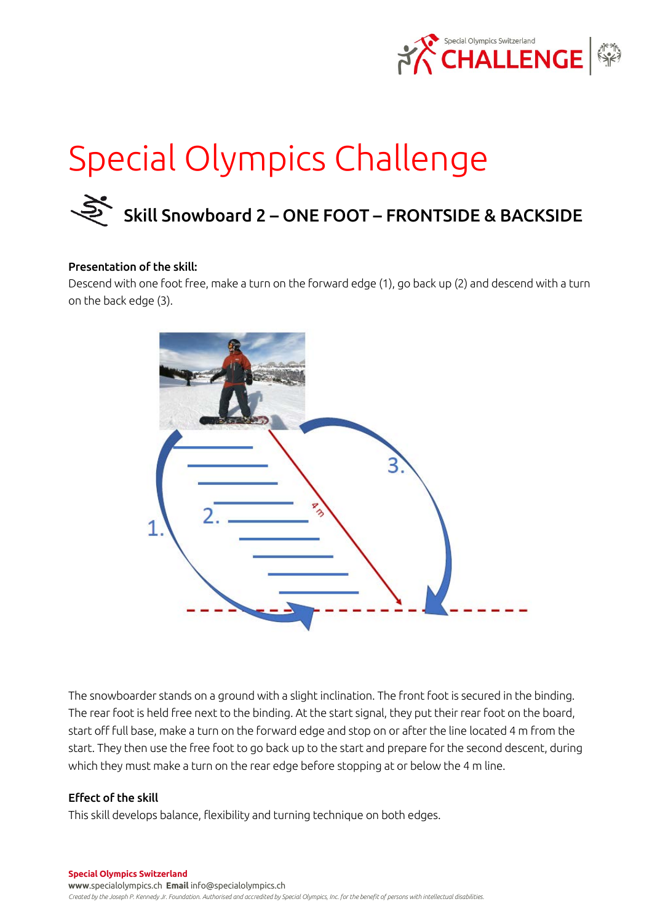

# Special Olympics Challenge

# Skill Snowboard 2 – ONE FOOT – FRONTSIDE & BACKSIDE

#### Presentation of the skill:

Descend with one foot free, make a turn on the forward edge (1), go back up (2) and descend with a turn on the back edge (3).



The snowboarder stands on a ground with a slight inclination. The front foot is secured in the binding. The rear foot is held free next to the binding. At the start signal, they put their rear foot on the board, start off full base, make a turn on the forward edge and stop on or after the line located 4 m from the start. They then use the free foot to go back up to the start and prepare for the second descent, during which they must make a turn on the rear edge before stopping at or below the 4 m line.

## Effect of the skill

This skill develops balance, flexibility and turning technique on both edges.

**Special Olympics Switzerland www**.specialolympics.ch **Email** info@specialolympics.ch *Created by the Joseph P. Kennedy Jr. Foundation. Authorised and accredited by Special Olympics, Inc. for the benefit of persons with intellectual disabilities.*